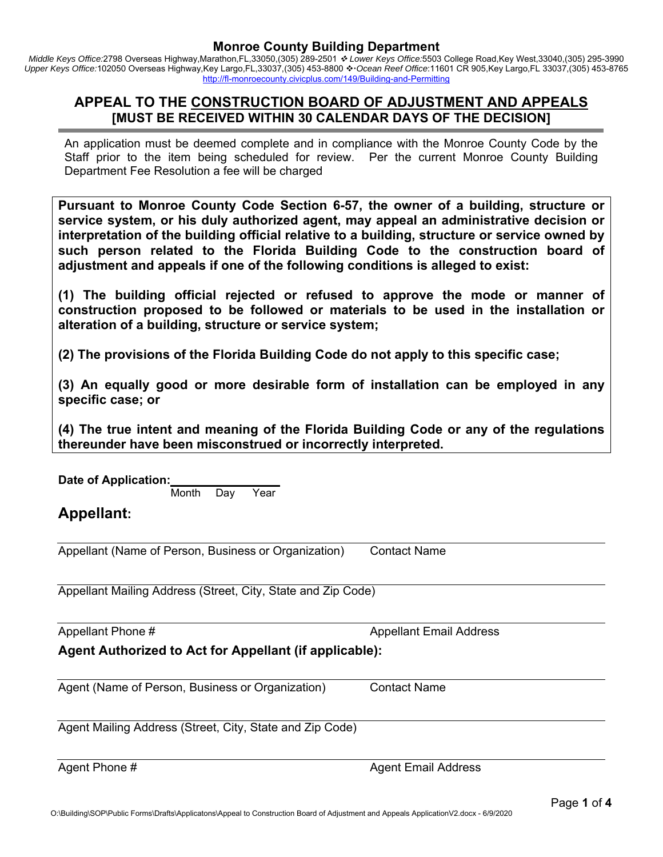*Middle Keys Office:*2798 Overseas Highway,Marathon,FL,33050,(305) 289-2501  *Lower Keys Office:*5503 College Road,Key West,33040,(305) 295-3990 Upper Keys Office:102050 Overseas Highway,Key Largo,FL,33037,(305) 453-8800 ❖ Ocean Reef Office:11601 CR 905,Key Largo,FL 33037,(305) 453-8765 http://fl-monroecounty.civicplus.com/149/Building-and-Permitting

## **APPEAL TO THE CONSTRUCTION BOARD OF ADJUSTMENT AND APPEALS [MUST BE RECEIVED WITHIN 30 CALENDAR DAYS OF THE DECISION]**

An application must be deemed complete and in compliance with the Monroe County Code by the Staff prior to the item being scheduled for review. Per the current Monroe County Building Department Fee Resolution a fee will be charged

**Pursuant to Monroe County Code Section 6-57, the owner of a building, structure or service system, or his duly authorized agent, may appeal an administrative decision or interpretation of the building official relative to a building, structure or service owned by such person related to the Florida Building Code to the construction board of adjustment and appeals if one of the following conditions is alleged to exist:** 

**(1) The building official rejected or refused to approve the mode or manner of construction proposed to be followed or materials to be used in the installation or alteration of a building, structure or service system;** 

**(2) The provisions of the Florida Building Code do not apply to this specific case;** 

**(3) An equally good or more desirable form of installation can be employed in any specific case; or** 

**(4) The true intent and meaning of the Florida Building Code or any of the regulations thereunder have been misconstrued or incorrectly interpreted.** 

| Date of Application:<br>Year<br>Month<br>Day                 |                                |  |  |  |  |  |  |  |  |
|--------------------------------------------------------------|--------------------------------|--|--|--|--|--|--|--|--|
| <b>Appellant:</b>                                            |                                |  |  |  |  |  |  |  |  |
| Appellant (Name of Person, Business or Organization)         | <b>Contact Name</b>            |  |  |  |  |  |  |  |  |
| Appellant Mailing Address (Street, City, State and Zip Code) |                                |  |  |  |  |  |  |  |  |
| Appellant Phone #                                            | <b>Appellant Email Address</b> |  |  |  |  |  |  |  |  |
| Agent Authorized to Act for Appellant (if applicable):       |                                |  |  |  |  |  |  |  |  |
| Agent (Name of Person, Business or Organization)             | <b>Contact Name</b>            |  |  |  |  |  |  |  |  |
| Agent Mailing Address (Street, City, State and Zip Code)     |                                |  |  |  |  |  |  |  |  |
| Agent Phone #                                                | <b>Agent Email Address</b>     |  |  |  |  |  |  |  |  |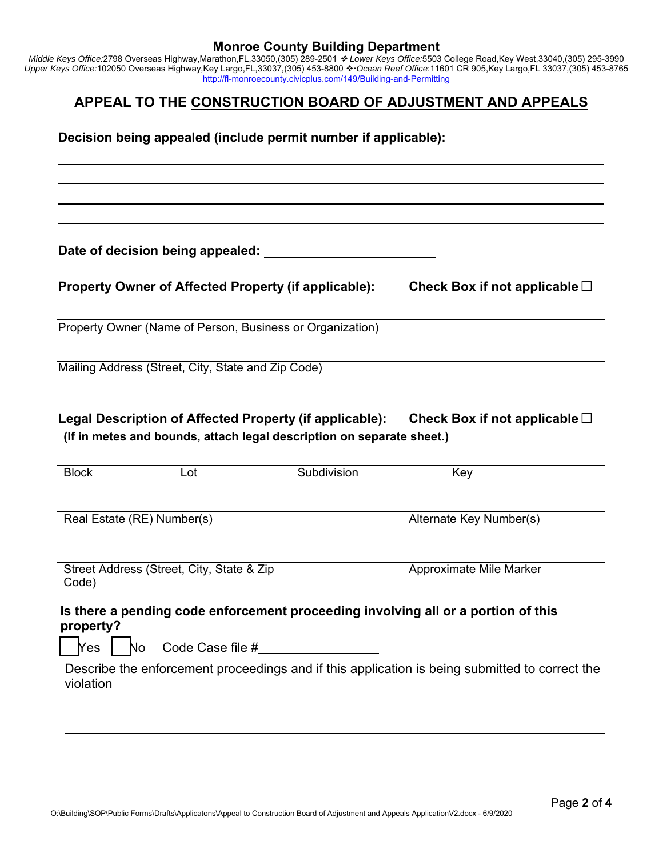*Middle Keys Office:*2798 Overseas Highway,Marathon,FL,33050,(305) 289-2501  *Lower Keys Office:*5503 College Road,Key West,33040,(305) 295-3990 Upper Keys Office:102050 Overseas Highway,Key Largo,FL,33037,(305) 453-8800 *↔ Ocean Reef Office*:11601 CR 905,Key Largo,FL 33037,(305) 453-8765 http://fl-monroecounty.civicplus.com/149/Building-and-Permitting

## **APPEAL TO THE CONSTRUCTION BOARD OF ADJUSTMENT AND APPEALS**

**Decision being appealed (include permit number if applicable):** 

**Date of decision being appealed:** 

**Property Owner of Affected Property (if applicable): Check Box if not applicable** □

Property Owner (Name of Person, Business or Organization)

Mailing Address (Street, City, State and Zip Code)

Legal Description of Affected Property (if applicable): Check Box if not applicable □ **(If in metes and bounds, attach legal description on separate sheet.)** 

| <b>Block</b><br>Lot                                                                            | Subdivision | Key                                                                                            |  |  |  |  |  |  |
|------------------------------------------------------------------------------------------------|-------------|------------------------------------------------------------------------------------------------|--|--|--|--|--|--|
| Real Estate (RE) Number(s)                                                                     |             | Alternate Key Number(s)                                                                        |  |  |  |  |  |  |
| Street Address (Street, City, State & Zip<br>Code)                                             |             | Approximate Mile Marker                                                                        |  |  |  |  |  |  |
| Is there a pending code enforcement proceeding involving all or a portion of this<br>property? |             |                                                                                                |  |  |  |  |  |  |
| Code Case file #<br><b>Nes</b><br>No.                                                          |             |                                                                                                |  |  |  |  |  |  |
| violation                                                                                      |             | Describe the enforcement proceedings and if this application is being submitted to correct the |  |  |  |  |  |  |
|                                                                                                |             |                                                                                                |  |  |  |  |  |  |
|                                                                                                |             |                                                                                                |  |  |  |  |  |  |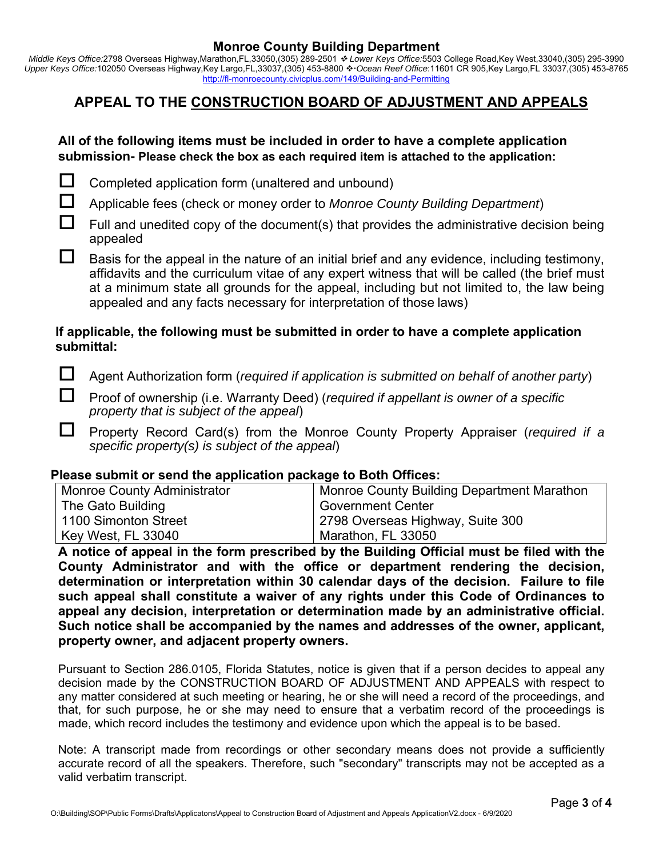*Middle Keys Office:*2798 Overseas Highway,Marathon,FL,33050,(305) 289-2501  *Lower Keys Office:*5503 College Road,Key West,33040,(305) 295-3990 Upper Keys Office:102050 Overseas Highway,Key Largo,FL,33037,(305) 453-8800 • Ocean Reef Office:11601 CR 905,Key Largo,FL 33037,(305) 453-8765 http://fl-monroecounty.civicplus.com/149/Building-and-Permitting

# **APPEAL TO THE CONSTRUCTION BOARD OF ADJUSTMENT AND APPEALS**

## **All of the following items must be included in order to have a complete application submission- Please check the box as each required item is attached to the application:**



 $\Box$  Completed application form (unaltered and unbound)

Applicable fees (check or money order to *Monroe County Building Department*)

 $\Box$  Full and unedited copy of the document(s) that provides the administrative decision being appealed

 $\Box$  Basis for the appeal in the nature of an initial brief and any evidence, including testimony, affidavits and the curriculum vitae of any expert witness that will be called (the brief must at a minimum state all grounds for the appeal, including but not limited to, the law being appealed and any facts necessary for interpretation of those laws)

## **If applicable, the following must be submitted in order to have a complete application submittal:**

Agent Authorization form (*required if application is submitted on behalf of another party*)

 Proof of ownership (i.e. Warranty Deed) (*required if appellant is owner of a specific property that is subject of the appeal*)

 Property Record Card(s) from the Monroe County Property Appraiser (*required if a specific property(s) is subject of the appeal*)

### **Please submit or send the application package to Both Offices:**

| <b>Monroe County Administrator</b> | <b>Monroe County Building Department Marathon</b> |
|------------------------------------|---------------------------------------------------|
| The Gato Building                  | Government Center                                 |
| 1100 Simonton Street               | 2798 Overseas Highway, Suite 300                  |
| Key West, FL 33040                 | <sup>∣</sup> Marathon, FL 33050                   |

**A notice of appeal in the form prescribed by the Building Official must be filed with the County Administrator and with the office or department rendering the decision, determination or interpretation within 30 calendar days of the decision. Failure to file such appeal shall constitute a waiver of any rights under this Code of Ordinances to appeal any decision, interpretation or determination made by an administrative official. Such notice shall be accompanied by the names and addresses of the owner, applicant, property owner, and adjacent property owners.** 

Pursuant to Section 286.0105, Florida Statutes, notice is given that if a person decides to appeal any decision made by the CONSTRUCTION BOARD OF ADJUSTMENT AND APPEALS with respect to any matter considered at such meeting or hearing, he or she will need a record of the proceedings, and that, for such purpose, he or she may need to ensure that a verbatim record of the proceedings is made, which record includes the testimony and evidence upon which the appeal is to be based.

Note: A transcript made from recordings or other secondary means does not provide a sufficiently accurate record of all the speakers. Therefore, such "secondary" transcripts may not be accepted as a valid verbatim transcript.